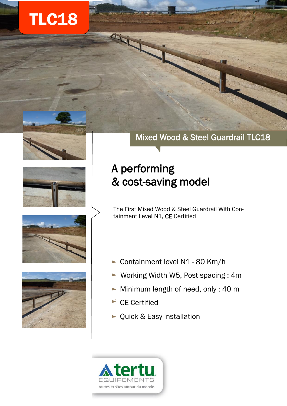# TLC18







# A performing & cost-saving model

The First Mixed Wood & Steel Guardrail With Containment Level N1, CE Certified





- Containment level N1 80 Km/h
- ► Working Width W5, Post spacing: 4m
- $\blacktriangleright$  Minimum length of need, only : 40 m
- $\blacktriangleright$  CE Certified
- Quick & Easy installation